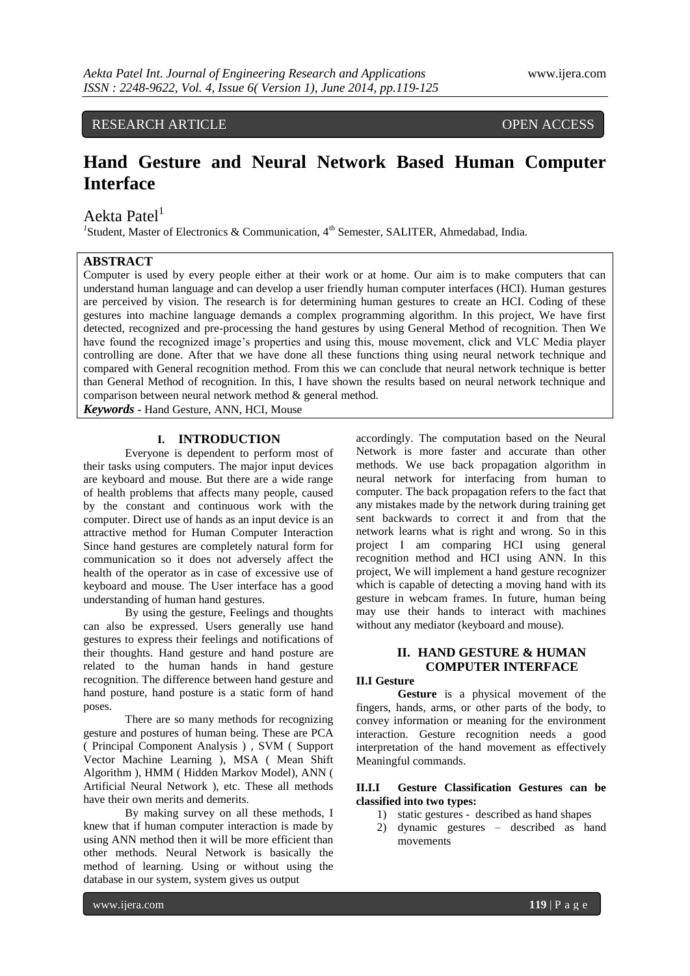# RESEARCH ARTICLE OPEN ACCESS

# **Hand Gesture and Neural Network Based Human Computer Interface**

# Aekta Patel<sup>1</sup>

<sup>1</sup>Student, Master of Electronics & Communication, 4<sup>th</sup> Semester, SALITER, Ahmedabad, India.

# **ABSTRACT**

Computer is used by every people either at their work or at home. Our aim is to make computers that can understand human language and can develop a user friendly human computer interfaces (HCI). Human gestures are perceived by vision. The research is for determining human gestures to create an HCI. Coding of these gestures into machine language demands a complex programming algorithm. In this project, We have first detected, recognized and pre-processing the hand gestures by using General Method of recognition. Then We have found the recognized image's properties and using this, mouse movement, click and VLC Media player controlling are done. After that we have done all these functions thing using neural network technique and compared with General recognition method. From this we can conclude that neural network technique is better than General Method of recognition. In this, I have shown the results based on neural network technique and comparison between neural network method & general method.

*Keywords* **-** Hand Gesture, ANN, HCI, Mouse

# **I. INTRODUCTION**

Everyone is dependent to perform most of their tasks using computers. The major input devices are keyboard and mouse. But there are a wide range of health problems that affects many people, caused by the constant and continuous work with the computer. Direct use of hands as an input device is an attractive method for Human Computer Interaction Since hand gestures are completely natural form for communication so it does not adversely affect the health of the operator as in case of excessive use of keyboard and mouse. The User interface has a good understanding of human hand gestures.

By using the gesture, Feelings and thoughts can also be expressed. Users generally use hand gestures to express their feelings and notifications of their thoughts. Hand gesture and hand posture are related to the human hands in hand gesture recognition. The difference between hand gesture and hand posture, hand posture is a static form of hand poses.

There are so many methods for recognizing gesture and postures of human being. These are PCA ( Principal Component Analysis ) , SVM ( Support Vector Machine Learning ), MSA ( Mean Shift Algorithm ), HMM ( Hidden Markov Model), ANN ( Artificial Neural Network ), etc. These all methods have their own merits and demerits.

By making survey on all these methods, I knew that if human computer interaction is made by using ANN method then it will be more efficient than other methods. Neural Network is basically the method of learning. Using or without using the database in our system, system gives us output

accordingly. The computation based on the Neural Network is more faster and accurate than other methods. We use back propagation algorithm in neural network for interfacing from human to computer. The back propagation refers to the fact that any mistakes made by the network during training get sent backwards to correct it and from that the network learns what is right and wrong. So in this project I am comparing HCI using general recognition method and HCI using ANN. In this project, We will implement a hand gesture recognizer which is capable of detecting a moving hand with its gesture in webcam frames. In future, human being may use their hands to interact with machines without any mediator (keyboard and mouse).

# **II. HAND GESTURE & HUMAN COMPUTER INTERFACE**

# **II.I Gesture**

**Gesture** is a physical movement of the fingers, hands, arms, or other parts of the body, to convey information or meaning for the environment interaction. Gesture recognition needs a good interpretation of the hand movement as effectively Meaningful commands.

# **II.I.I Gesture Classification Gestures can be classified into two types:**

- 1) static gestures described as hand shapes
- 2) dynamic gestures described as hand movements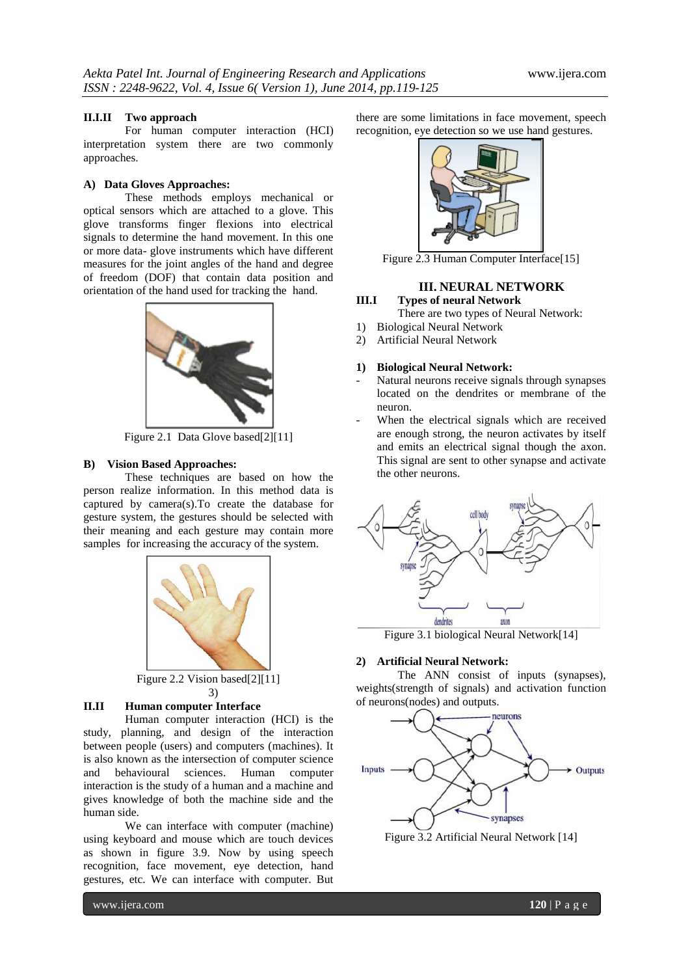#### **II.I.II Two approach**

For human computer interaction (HCI) interpretation system there are two commonly approaches.

#### **A) Data Gloves Approaches:**

These methods employs mechanical or optical sensors which are attached to a glove. This glove transforms finger flexions into electrical signals to determine the hand movement. In this one or more data- glove instruments which have different measures for the joint angles of the hand and degree of freedom (DOF) that contain data position and orientation of the hand used for tracking the hand.



Figure 2.1 Data Glove based[2][11]

#### **B) Vision Based Approaches:**

These techniques are based on how the person realize information. In this method data is captured by camera(s).To create the database for gesture system, the gestures should be selected with their meaning and each gesture may contain more samples for increasing the accuracy of the system.



3)

#### **II.II Human computer Interface**

Human computer interaction (HCI) is the study, planning, and design of the interaction between people [\(users\)](http://en.wikipedia.org/wiki/User_(computing)) and computers (machines). It is also known as the intersection of [computer science](http://en.wikipedia.org/wiki/Computer_science) and [behavioural sciences.](http://en.wikipedia.org/wiki/Behavioral_sciences) Human computer interaction is the study of a human and a machine and gives knowledge of both the machine side and the human side.

We can interface with computer (machine) using keyboard and mouse which are touch devices as shown in figure 3.9. Now by using speech recognition, face movement, eye detection, hand gestures, etc. We can interface with computer. But

there are some limitations in face movement, speech recognition, eye detection so we use hand gestures.



Figure 2.3 Human Computer Interface[15]

#### **III. NEURAL NETWORK III.I Types of neural Network**

- There are two types of Neural Network:
- 1) Biological Neural Network
- 2) Artificial Neural Network

#### **1) Biological Neural Network:**

- Natural neurons receive signals through synapses located on the dendrites or membrane of the neuron.
- When the electrical signals which are received are enough strong, the neuron activates by itself and emits an electrical signal though the axon. This signal are sent to other synapse and activate the other neurons.



Figure 3.1 biological Neural Network[14]

# **2) Artificial Neural Network:**

The ANN consist of inputs (synapses), weights(strength of signals) and activation function of neurons(nodes) and outputs.



Figure 3.2 Artificial Neural Network [14]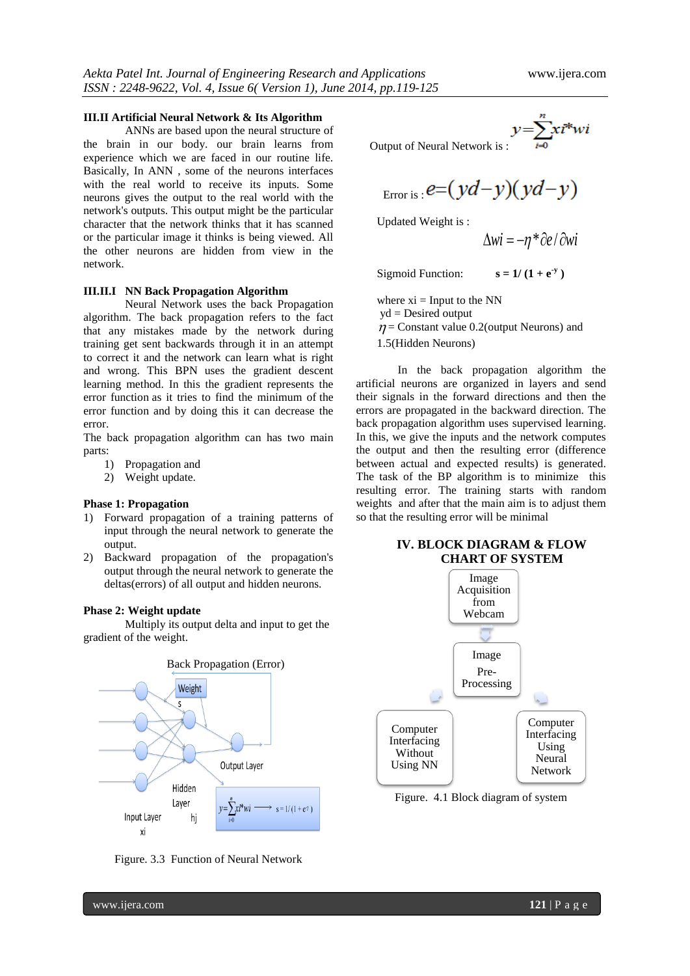#### **III.II Artificial Neural Network & Its Algorithm**

ANNs are based upon the neural structure of the brain in our body. our brain learns from experience which we are faced in our routine life. Basically, In ANN , some of the neurons interfaces with the real world to receive its inputs. Some neurons gives the output to the real world with the network's outputs. This output might be the particular character that the network thinks that it has scanned or the particular image it thinks is being viewed. All the other neurons are hidden from view in the network.

# **III.II.I NN Back Propagation Algorithm**

Neural Network uses the back Propagation algorithm. The back propagation refers to the fact that any mistakes made by the network during training get sent backwards through it in an attempt to correct it and the network can learn what is right and wrong. This BPN uses the gradient descent learning method. In this the gradient represents the error function as it tries to find the minimum of the error function and by doing this it can decrease the error.

The back propagation algorithm can has two main parts:

- 1) Propagation and
- 2) Weight update.

## **Phase 1: Propagation**

- 1) Forward propagation of a training patterns of input through the neural network to generate the output.
- 2) Backward propagation of the propagation's output through the neural network to generate the deltas(errors) of all output and hidden neurons.

#### **Phase 2: Weight update**

Multiply its output delta and input to get the gradient of the weight.



Figure. 3.3 Function of Neural Network

Output of Neural Network is : 
$$
y = \sum_{i=0}^{n} x_i^* w_i
$$

$$
E_{\text{Error is}}: e=(yd-y)(yd-y)
$$

Updated Weight is :

$$
\Delta wi = -\eta * \partial e / \partial wi
$$

 $s = 1/(1 + e^{y})$ 

Sigmoid Function:

where  $xi =$  Input to the NN yd = Desired output  $\eta$  = Constant value 0.2(output Neurons) and 1.5(Hidden Neurons)

In the back propagation algorithm the artificial neurons are organized in layers and send their signals in the forward directions and then the errors are propagated in the backward direction. The back propagation algorithm uses supervised learning. In this, we give the inputs and the network computes the output and then the resulting error (difference between actual and expected results) is generated. The task of the BP algorithm is to minimize this resulting error. The training starts with random weights and after that the main aim is to adjust them so that the resulting error will be minimal

# **IV. BLOCK DIAGRAM & FLOW CHART OF SYSTEM**



Figure. 4.1 Block diagram of system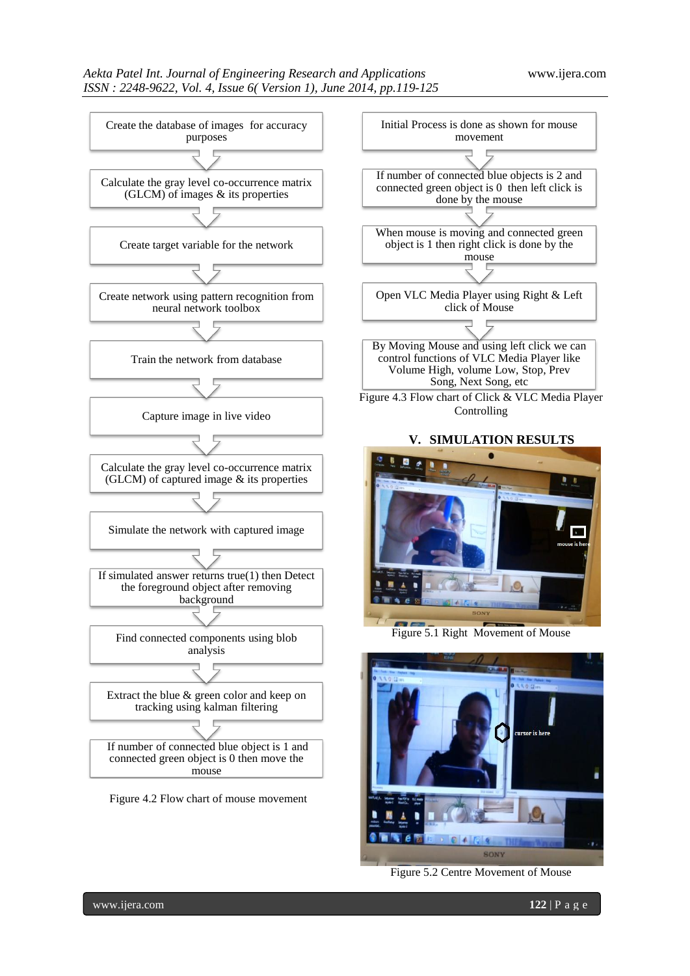

Figure 5.2 Centre Movement of Mouse

SONY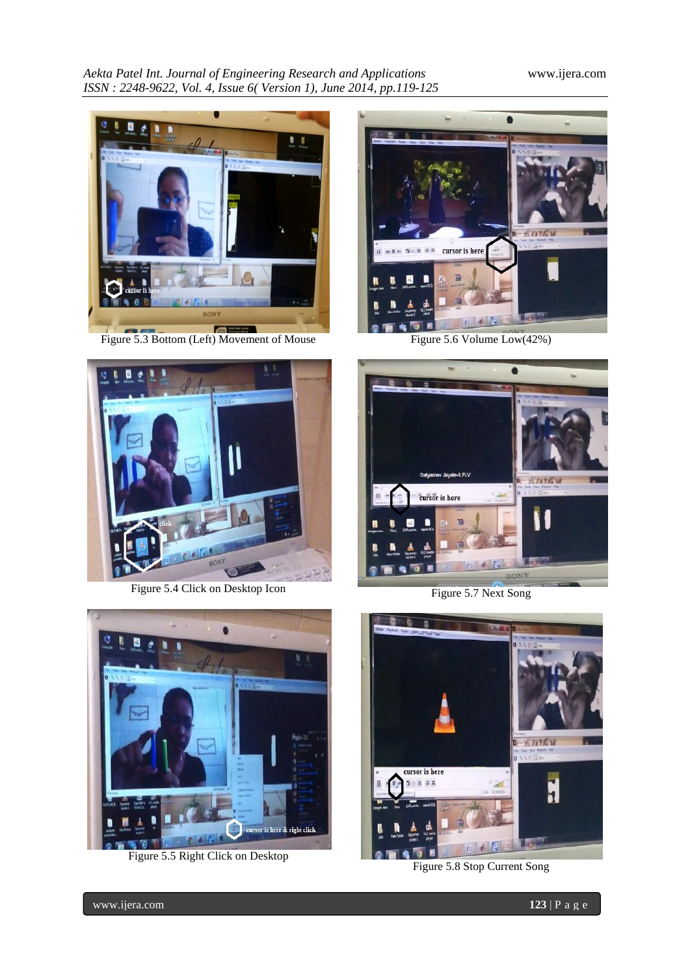*Aekta Patel Int. Journal of Engineering Research and Applications* www.ijera.com *ISSN : 2248-9622, Vol. 4, Issue 6( Version 1), June 2014, pp.119-125*





Figure 5.4 Click on Desktop Icon



Figure 5.5 Right Click on Desktop



Figure 5.6 Volume Low(42%)



Figure 5.7 Next Song



Figure 5.8 Stop Current Song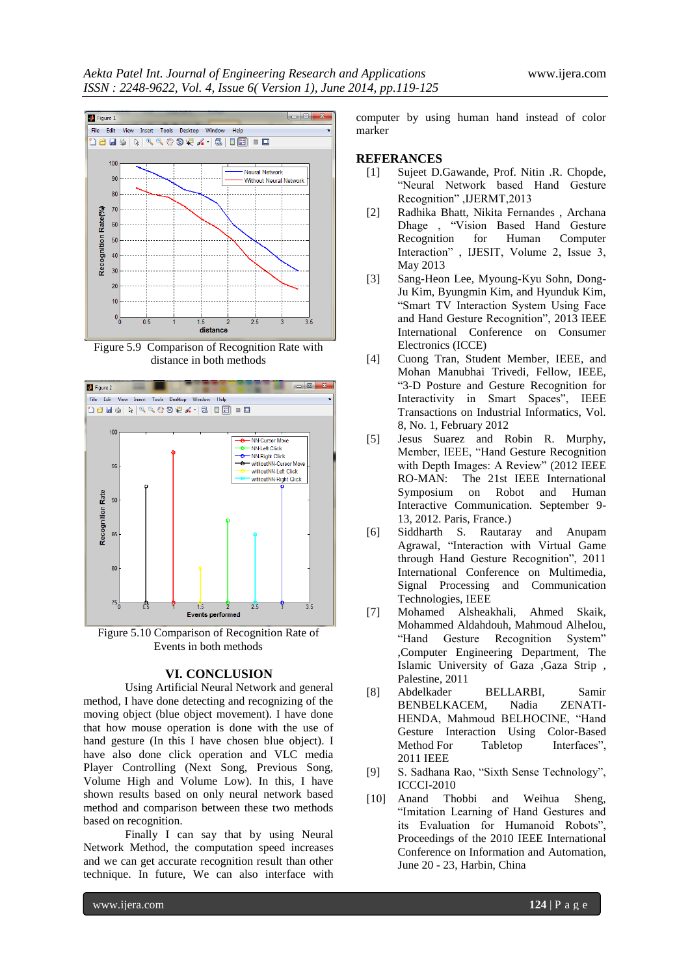

Figure 5.9 Comparison of Recognition Rate with distance in both methods



Figure 5.10 Comparison of Recognition Rate of Events in both methods

#### **VI. CONCLUSION**

Using Artificial Neural Network and general method, I have done detecting and recognizing of the moving object (blue object movement). I have done that how mouse operation is done with the use of hand gesture (In this I have chosen blue object). I have also done click operation and VLC media Player Controlling (Next Song, Previous Song, Volume High and Volume Low). In this, I have shown results based on only neural network based method and comparison between these two methods based on recognition.

Finally I can say that by using Neural Network Method, the computation speed increases and we can get accurate recognition result than other technique. In future, We can also interface with

computer by using human hand instead of color marker

#### **REFERANCES**

- [1] Sujeet D.Gawande, Prof. Nitin .R. Chopde, "Neural Network based Hand Gesture Recognition", IJERMT, 2013
- [2] Radhika Bhatt, Nikita Fernandes , Archana Dhage , "Vision Based Hand Gesture Recognition for Human Computer Interaction", IJESIT, Volume 2, Issue 3, May 2013
- [3] Sang-Heon Lee*,* Myoung-Kyu Sohn, Dong-Ju Kim, Byungmin Kim, and Hyunduk Kim, ―Smart TV Interaction System Using Face and Hand Gesture Recognition", 2013 IEEE International Conference on Consumer Electronics (ICCE)
- [4] Cuong Tran, Student Member, IEEE, and Mohan Manubhai Trivedi, Fellow, IEEE, ―3-D Posture and Gesture Recognition for Interactivity in Smart Spaces", IEEE Transactions on Industrial Informatics, Vol. 8, No. 1, February 2012
- [5] Jesus Suarez and Robin R. Murphy, Member, IEEE, "Hand Gesture Recognition with Depth Images: A Review" (2012 IEEE RO-MAN: The 21st IEEE International Symposium on Robot and Human Interactive Communication. September 9- 13, 2012. Paris, France.)
- [6] Siddharth S. Rautaray and Anupam Agrawal, "Interaction with Virtual Game through Hand Gesture Recognition", 2011 International Conference on Multimedia, Signal Processing and Communication Technologies, IEEE
- [7] Mohamed Alsheakhali, Ahmed Skaik, Mohammed Aldahdouh, Mahmoud Alhelou, "Hand Gesture Recognition System" ,Computer Engineering Department, The Islamic University of Gaza ,Gaza Strip , Palestine, 2011
- [8] Abdelkader BELLARBI, Samir BENBELKACEM, Nadia ZENATI-HENDA, Mahmoud BELHOCINE, "Hand Gesture Interaction Using Color-Based Method For Tabletop Interfaces", 2011 IEEE
- [9] S. Sadhana Rao, "Sixth Sense Technology", ICCCI-2010
- [10] Anand Thobbi and Weihua Sheng, "Imitation Learning of Hand Gestures and its Evaluation for Humanoid Robots", Proceedings of the 2010 IEEE International Conference on Information and Automation, June 20 - 23, Harbin, China